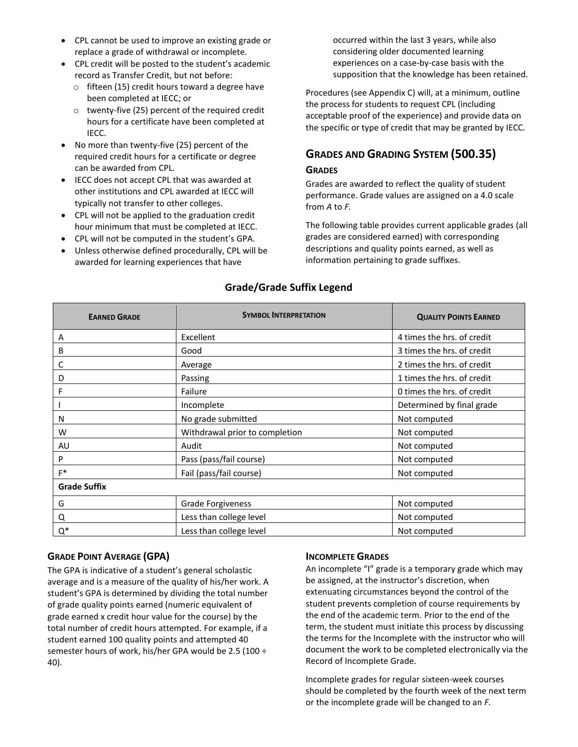- CPL cannot be used to improve an existing grade or replace a grade of withdrawal or incomplete.
- CPL credit will be posted to the student's academic record as Transfer Credit, but not before:
	- o fifteen (15) credit hours toward a degree have been completed at IECC; or
	- o twenty-five (25) percent of the required credit hours for a certificate have been completed at IECC.
- No more than twenty-five (25) percent of the required credit hours for a certificate or degree can be awarded from CPL.
- IECC does not accept CPL that was awarded at other institutions and CPL awarded at IECC will typically not transfer to other colleges.
- CPL will not be applied to the graduation credit hour minimum that must be completed at IECC.
- CPL will not be computed in the student's GPA.
- Unless otherwise defined procedurally, CPL will be awarded for learning experiences that have

occurred within the last 3 years, while also considering older documented learning experiences on a case-by-case basis with the supposition that the knowledge has been retained.

Procedures (see Appendix C) will, at a minimum, outline the process for students to request CPL (including acceptable proof of the experience) and provide data on the specific or type of credit that may be granted by IECC.

# **GRADES AND GRADING SYSTEM (500.35)**

## **GRADES**

Grades are awarded to reflect the quality of student performance. Grade values are assigned on a 4.0 scale from *A* to *F.*

The following table provides current applicable grades (all grades are considered earned) with corresponding descriptions and quality points earned, as well as information pertaining to grade suffixes.

| <b>EARNED GRADE</b> | <b>SYMBOL INTERPRETATION</b>   | <b>QUALITY POINTS EARNED</b> |
|---------------------|--------------------------------|------------------------------|
| A                   | Excellent                      | 4 times the hrs. of credit   |
| В                   | Good                           | 3 times the hrs. of credit   |
| C                   | Average                        | 2 times the hrs. of credit   |
| D                   | Passing                        | 1 times the hrs. of credit   |
|                     | Failure                        | 0 times the hrs. of credit   |
|                     | Incomplete                     | Determined by final grade    |
| N                   | No grade submitted             | Not computed                 |
| W                   | Withdrawal prior to completion | Not computed                 |
| AU                  | Audit                          | Not computed                 |
| P                   | Pass (pass/fail course)        | Not computed                 |
| $F^*$               | Fail (pass/fail course)        | Not computed                 |
| <b>Grade Suffix</b> |                                |                              |
| G                   | <b>Grade Forgiveness</b>       | Not computed                 |
| Q                   | Less than college level        | Not computed                 |
| $Q^*$               | Less than college level        | Not computed                 |

# **Grade/Grade Suffix Legend**

## **GRADE POINT AVERAGE (GPA)**

The GPA is indicative of a student's general scholastic average and is a measure of the quality of his/her work. A student's GPA is determined by dividing the total number of grade quality points earned (numeric equivalent of grade earned x credit hour value for the course) by the total number of credit hours attempted. For example, if a student earned 100 quality points and attempted 40 semester hours of work, his/her GPA would be 2.5 (100 ÷ 40).

## **INCOMPLETE GRADES**

An incomplete "I" grade is a temporary grade which may be assigned, at the instructor's discretion, when extenuating circumstances beyond the control of the student prevents completion of course requirements by the end of the academic term. Prior to the end of the term, the student must initiate this process by discussing the terms for the Incomplete with the instructor who will document the work to be completed electronically via the Record of Incomplete Grade.

Incomplete grades for regular sixteen-week courses should be completed by the fourth week of the next term or the incomplete grade will be changed to an *F.*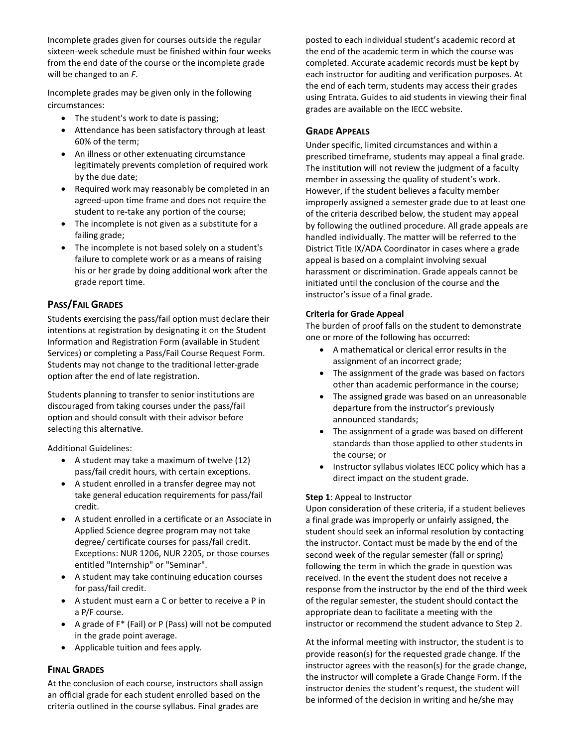Incomplete grades given for courses outside the regular sixteen-week schedule must be finished within four weeks from the end date of the course or the incomplete grade will be changed to an *F*.

Incomplete grades may be given only in the following circumstances:

- The student's work to date is passing;
- Attendance has been satisfactory through at least 60% of the term;
- An illness or other extenuating circumstance legitimately prevents completion of required work by the due date;
- Required work may reasonably be completed in an agreed-upon time frame and does not require the student to re-take any portion of the course;
- The incomplete is not given as a substitute for a failing grade;
- The incomplete is not based solely on a student's failure to complete work or as a means of raising his or her grade by doing additional work after the grade report time.

## **PASS/FAIL GRADES**

Students exercising the pass/fail option must declare their intentions at registration by designating it on the Student Information and Registration Form (available in Student Services) or completing a Pass/Fail Course Request Form. Students may not change to the traditional letter-grade option after the end of late registration.

Students planning to transfer to senior institutions are discouraged from taking courses under the pass/fail option and should consult with their advisor before selecting this alternative.

Additional Guidelines:

- A student may take a maximum of twelve (12) pass/fail credit hours, with certain exceptions.
- A student enrolled in a transfer degree may not take general education requirements for pass/fail credit.
- A student enrolled in a certificate or an Associate in Applied Science degree program may not take degree/ certificate courses for pass/fail credit. Exceptions: NUR 1206, NUR 2205, or those courses entitled "Internship" or "Seminar".
- A student may take continuing education courses for pass/fail credit.
- A student must earn a C or better to receive a P in a P/F course.
- A grade of F\* (Fail) or P (Pass) will not be computed in the grade point average.
- Applicable tuition and fees apply.

## **FINAL GRADES**

At the conclusion of each course, instructors shall assign an official grade for each student enrolled based on the criteria outlined in the course syllabus. Final grades are

posted to each individual student's academic record at the end of the academic term in which the course was completed. Accurate academic records must be kept by each instructor for auditing and verification purposes. At the end of each term, students may access their grades using Entrata. Guides to aid students in viewing their final grades are available on the IECC website.

#### **GRADE APPEALS**

Under specific, limited circumstances and within a prescribed timeframe, students may appeal a final grade. The institution will not review the judgment of a faculty member in assessing the quality of student's work. However, if the student believes a faculty member improperly assigned a semester grade due to at least one of the criteria described below, the student may appeal by following the outlined procedure. All grade appeals are handled individually. The matter will be referred to the District Title IX/ADA Coordinator in cases where a grade appeal is based on a complaint involving sexual harassment or discrimination. Grade appeals cannot be initiated until the conclusion of the course and the instructor's issue of a final grade.

#### **Criteria for Grade Appeal**

The burden of proof falls on the student to demonstrate one or more of the following has occurred:

- A mathematical or clerical error results in the assignment of an incorrect grade;
- The assignment of the grade was based on factors other than academic performance in the course;
- The assigned grade was based on an unreasonable departure from the instructor's previously announced standards;
- The assignment of a grade was based on different standards than those applied to other students in the course; or
- Instructor syllabus violates IECC policy which has a direct impact on the student grade.

#### **Step 1**: Appeal to Instructor

Upon consideration of these criteria, if a student believes a final grade was improperly or unfairly assigned, the student should seek an informal resolution by contacting the instructor. Contact must be made by the end of the second week of the regular semester (fall or spring) following the term in which the grade in question was received. In the event the student does not receive a response from the instructor by the end of the third week of the regular semester, the student should contact the appropriate dean to facilitate a meeting with the instructor or recommend the student advance to Step 2.

At the informal meeting with instructor, the student is to provide reason(s) for the requested grade change. If the instructor agrees with the reason(s) for the grade change, the instructor will complete a Grade Change Form. If the instructor denies the student's request, the student will be informed of the decision in writing and he/she may